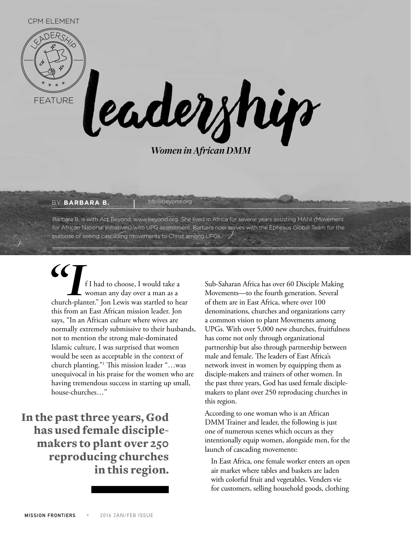

*Women in African DMM*

## BY **BARBARA B. Bub@beyond.org**

Barbara B. is with Act Beyond. www.beyond.org She lived in Africa for several years assisting MANI (Movement for African National Initiatives) with UPG assessment. Barbara now serves with the Ephesus Global Team for the purpose of seeing cascading movements to Christ among UPGs.

**CONTROVIDE SET AND FI had to choose, I would take a** woman any day over a man as a church-planter." Jon Lewis was startled to hear woman any day over a man as a this from an East African mission leader. Jon says, "In an African culture where wives are normally extremely submissive to their husbands, not to mention the strong male-dominated Islamic culture, I was surprised that women would be seen as acceptable in the context of church planting."1 This mission leader "…was unequivocal in his praise for the women who are having tremendous success in starting up small, house-churches…"

In the past three years, God has used female disciplemakers to plant over 250 reproducing churches in this region.

Sub-Saharan Africa has over 60 Disciple Making Movements—to the fourth generation. Several of them are in East Africa, where over 100 denominations, churches and organizations carry a common vision to plant Movements among UPGs. With over 5,000 new churches, fruitfulness has come not only through organizational partnership but also through partnership between male and female. The leaders of East Africa's network invest in women by equipping them as disciple-makers and trainers of other women. In the past three years, God has used female disciplemakers to plant over 250 reproducing churches in this region.

According to one woman who is an African DMM Trainer and leader, the following is just one of numerous scenes which occurs as they intentionally equip women, alongside men, for the launch of cascading movements:

In East Africa, one female worker enters an open air market where tables and baskets are laden with colorful fruit and vegetables. Venders vie for customers, selling household goods, clothing